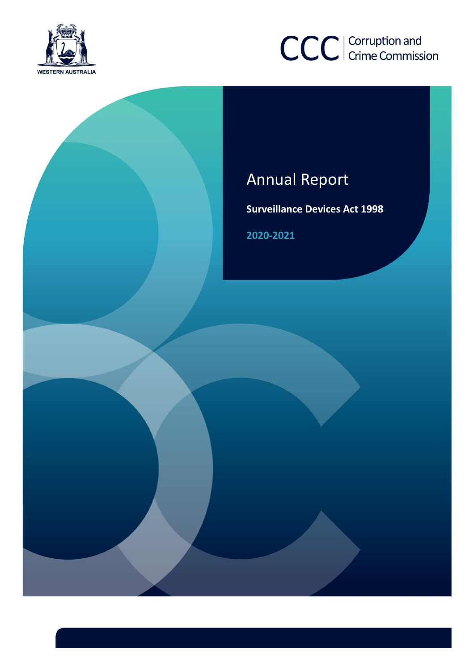





**Surveillance Devices Act 1998**

**2020-2021**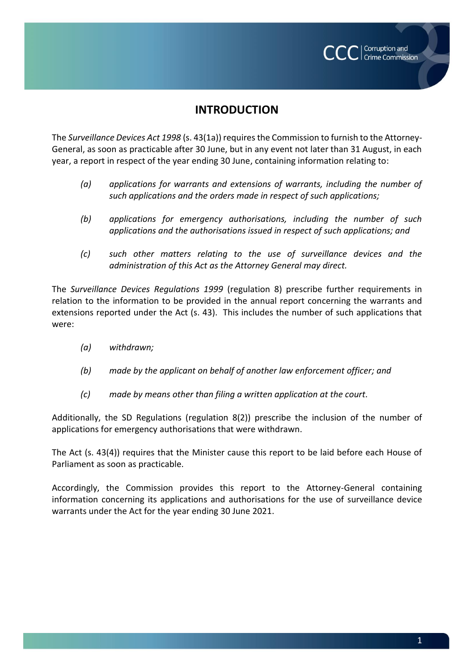

## **INTRODUCTION**

The *Surveillance Devices Act 1998* (s. 43(1a)) requires the Commission to furnish to the Attorney-General, as soon as practicable after 30 June, but in any event not later than 31 August, in each year, a report in respect of the year ending 30 June, containing information relating to:

- *(a) applications for warrants and extensions of warrants, including the number of such applications and the orders made in respect of such applications;*
- *(b) applications for emergency authorisations, including the number of such applications and the authorisations issued in respect of such applications; and*
- *(c) such other matters relating to the use of surveillance devices and the administration of this Act as the Attorney General may direct.*

The *Surveillance Devices Regulations 1999* (regulation 8) prescribe further requirements in relation to the information to be provided in the annual report concerning the warrants and extensions reported under the Act (s. 43). This includes the number of such applications that were:

- *(a) withdrawn;*
- *(b) made by the applicant on behalf of another law enforcement officer; and*
- *(c) made by means other than filing a written application at the court.*

Additionally, the SD Regulations (regulation 8(2)) prescribe the inclusion of the number of applications for emergency authorisations that were withdrawn.

The Act (s. 43(4)) requires that the Minister cause this report to be laid before each House of Parliament as soon as practicable.

Accordingly, the Commission provides this report to the Attorney-General containing information concerning its applications and authorisations for the use of surveillance device warrants under the Act for the year ending 30 June 2021.